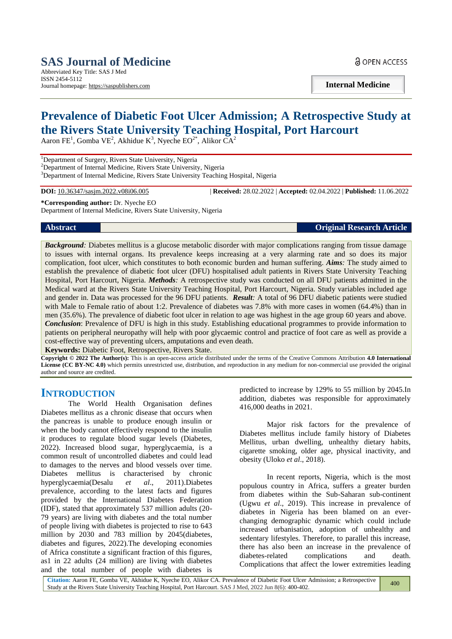# **SAS Journal of Medicine** Abbreviated Key Title: SAS J Med

ISSN 2454-5112 Journal homepage: https://saspublishers.com **a** OPEN ACCESS

**Internal Medicine**

# **Prevalence of Diabetic Foot Ulcer Admission; A Retrospective Study at the Rivers State University Teaching Hospital, Port Harcourt**

Aaron FE<sup>1</sup>, Gomba VE<sup>2</sup>, Akhidue K<sup>3</sup>, Nyeche EO<sup>2\*</sup>, Alikor CA<sup>2</sup>

<sup>1</sup>Department of Surgery, Rivers State University, Nigeria

<sup>2</sup>Department of Internal Medicine, Rivers State University, Nigeria <sup>3</sup>Department of Internal Medicine, Rivers State University Teaching Hospital, Nigeria

**DOI:** 10.36347/sasjm.2022.v08i06.005 | **Received:** 28.02.2022 | **Accepted:** 02.04.2022 | **Published:** 11.06.2022

**\*Corresponding author:** Dr. Nyeche EO Department of Internal Medicine, Rivers State University, Nigeria

**Abstract Original Research Article**

*Background*: Diabetes mellitus is a glucose metabolic disorder with major complications ranging from tissue damage to issues with internal organs. Its prevalence keeps increasing at a very alarming rate and so does its major complication, foot ulcer, which constitutes to both economic burden and human suffering. *Aims:* The study aimed to establish the prevalence of diabetic foot ulcer (DFU) hospitalised adult patients in Rivers State University Teaching Hospital, Port Harcourt, Nigeria. *Methods:* A retrospective study was conducted on all DFU patients admitted in the Medical ward at the Rivers State University Teaching Hospital, Port Harcourt, Nigeria. Study variables included age and gender in. Data was processed for the 96 DFU patients. *Result:* A total of 96 DFU diabetic patients were studied with Male to Female ratio of about 1:2. Prevalence of diabetes was 7.8% with more cases in women (64.4%) than in men (35.6%). The prevalence of diabetic foot ulcer in relation to age was highest in the age group 60 years and above. *Conclusion*: Prevalence of DFU is high in this study. Establishing educational programmes to provide information to patients on peripheral neuropathy will help with poor glycaemic control and practice of foot care as well as provide a cost-effective way of preventing ulcers, amputations and even death.

**Keywords:** Diabetic Foot, Retrospective, Rivers State.

**Copyright © 2022 The Author(s):** This is an open-access article distributed under the terms of the Creative Commons Attribution **4.0 International License (CC BY-NC 4.0)** which permits unrestricted use, distribution, and reproduction in any medium for non-commercial use provided the original author and source are credited.

# **INTRODUCTION**

The World Health Organisation defines Diabetes mellitus as a chronic disease that occurs when the pancreas is unable to produce enough insulin or when the body cannot effectively respond to the insulin it produces to regulate blood sugar levels (Diabetes, 2022). Increased blood sugar, hyperglycaemia, is a common result of uncontrolled diabetes and could lead to damages to the nerves and blood vessels over time. Diabetes mellitus is characterised by chronic hyperglycaemia(Desalu *et al*., 2011).Diabetes prevalence, according to the latest facts and figures provided by the International Diabetes Federation (IDF), stated that approximately 537 million adults (20- 79 years) are living with diabetes and the total number of people living with diabetes is projected to rise to 643 million by 2030 and 783 million by 2045(diabetes, diabetes and figures, 2022).The developing economies of Africa constitute a significant fraction of this figures, as1 in 22 adults (24 million) are living with diabetes and the total number of people with diabetes is predicted to increase by 129% to 55 million by 2045.In addition, diabetes was responsible for approximately 416,000 deaths in 2021.

Major risk factors for the prevalence of Diabetes mellitus include family history of Diabetes Mellitus, urban dwelling, unhealthy dietary habits, cigarette smoking, older age, physical inactivity, and obesity (Uloko *et al*., 2018).

In recent reports, Nigeria, which is the most populous country in Africa, suffers a greater burden from diabetes within the Sub-Saharan sub-continent (Ugwu *et al*., 2019). This increase in prevalence of diabetes in Nigeria has been blamed on an everchanging demographic dynamic which could include increased urbanisation, adoption of unhealthy and sedentary lifestyles. Therefore, to parallel this increase, there has also been an increase in the prevalence of diabetes-related complications and death. Complications that affect the lower extremities leading

**Citation:** Aaron FE, Gomba VE, Akhidue K, Nyeche EO, Alikor CA. Prevalence of Diabetic Foot Ulcer Admission; a Retrospective Study at the Rivers State University Teaching Hospital, Port Harcourt. SAS J Med, 2022 Jun 8(6): 400-402. 400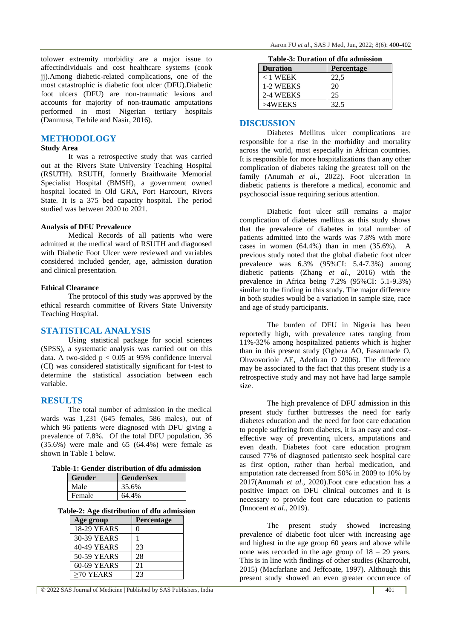tolower extremity morbidity are a major issue to affectindividuals and cost healthcare systems (cook jj).Among diabetic-related complications, one of the most catastrophic is diabetic foot ulcer (DFU).Diabetic foot ulcers (DFU) are non-traumatic lesions and accounts for majority of non-traumatic amputations performed in most Nigerian tertiary hospitals (Danmusa, Terhile and Nasir, 2016).

## **METHODOLOGY**

## **Study Area**

It was a retrospective study that was carried out at the Rivers State University Teaching Hospital (RSUTH). RSUTH, formerly Braithwaite Memorial Specialist Hospital (BMSH), a government owned hospital located in Old GRA, Port Harcourt, Rivers State. It is a 375 bed capacity hospital. The period studied was between 2020 to 2021.

#### **Analysis of DFU Prevalence**

Medical Records of all patients who were admitted at the medical ward of RSUTH and diagnosed with Diabetic Foot Ulcer were reviewed and variables considered included gender, age, admission duration and clinical presentation.

#### **Ethical Clearance**

The protocol of this study was approved by the ethical research committee of Rivers State University Teaching Hospital.

## **STATISTICAL ANALYSIS**

Using statistical package for social sciences (SPSS), a systematic analysis was carried out on this data. A two-sided  $p < 0.05$  at 95% confidence interval (CI) was considered statistically significant for t-test to determine the statistical association between each variable.

#### **RESULTS**

The total number of admission in the medical wards was 1,231 (645 females, 586 males), out of which 96 patients were diagnosed with DFU giving a prevalence of 7.8%. Of the total DFU population, 36  $(35.6\%)$  were male and 65  $(64.4\%)$  were female as shown in Table 1 below.

#### **Table-1: Gender distribution of dfu admission**

| <b>Gender</b> | <b>Gender/sex</b> |  |
|---------------|-------------------|--|
| Male          | 35.6%             |  |
| Female        | 64.4%             |  |

#### **Table-2: Age distribution of dfu admission**

| Age group          | <b>Percentage</b> |
|--------------------|-------------------|
| <b>18-29 YEARS</b> | 0                 |
| 30-39 YEARS        |                   |
| 40-49 YEARS        | 23                |
| 50-59 YEARS        | 28                |
| 60-69 YEARS        | 21                |
| $>70$ YEARS        | 23                |

| Table-3: Duration of dfu admission |  |  |  |  |
|------------------------------------|--|--|--|--|
|------------------------------------|--|--|--|--|

| <b>Duration</b> | <b>Percentage</b> |  |
|-----------------|-------------------|--|
| $<$ 1 WEEK      | 22.5              |  |
| 1-2 WEEKS       | 20                |  |
| 2-4 WEEKS       | 25                |  |
| >4WEEKS         | 32.5              |  |

#### **DISCUSSION**

Diabetes Mellitus ulcer complications are responsible for a rise in the morbidity and mortality across the world, most especially in African countries. It is responsible for more hospitalizations than any other complication of diabetes taking the greatest toll on the family (Anumah *et al*., 2022). Foot ulceration in diabetic patients is therefore a medical, economic and psychosocial issue requiring serious attention.

Diabetic foot ulcer still remains a major complication of diabetes mellitus as this study shows that the prevalence of diabetes in total number of patients admitted into the wards was 7.8% with more cases in women  $(64.4\%)$  than in men  $(35.6\%)$ . A previous study noted that the global diabetic foot ulcer prevalence was 6.3% (95%CI: 5.4-7.3%) among diabetic patients (Zhang *et al*., 2016) with the prevalence in Africa being 7.2% (95%CI: 5.1-9.3%) similar to the finding in this study. The major difference in both studies would be a variation in sample size, race and age of study participants.

The burden of DFU in Nigeria has been reportedly high, with prevalence rates ranging from 11%-32% among hospitalized patients which is higher than in this present study (Ogbera AO, Fasanmade O, Ohwovoriole AE, Adediran O 2006). The difference may be associated to the fact that this present study is a retrospective study and may not have had large sample size.

The high prevalence of DFU admission in this present study further buttresses the need for early diabetes education and the need for foot care education to people suffering from diabetes, it is an easy and costeffective way of preventing ulcers, amputations and even death. Diabetes foot care education program caused 77% of diagnosed patientsto seek hospital care as first option, rather than herbal medication, and amputation rate decreased from 50% in 2009 to 10% by 2017(Anumah *et al*., 2020).Foot care education has a positive impact on DFU clinical outcomes and it is necessary to provide foot care education to patients (Innocent *et al*., 2019).

The present study showed increasing prevalence of diabetic foot ulcer with increasing age and highest in the age group 60 years and above while none was recorded in the age group of  $18 - 29$  years. This is in line with findings of other studies (Kharroubi, 2015) (Macfarlane and Jeffcoate, 1997). Although this present study showed an even greater occurrence of